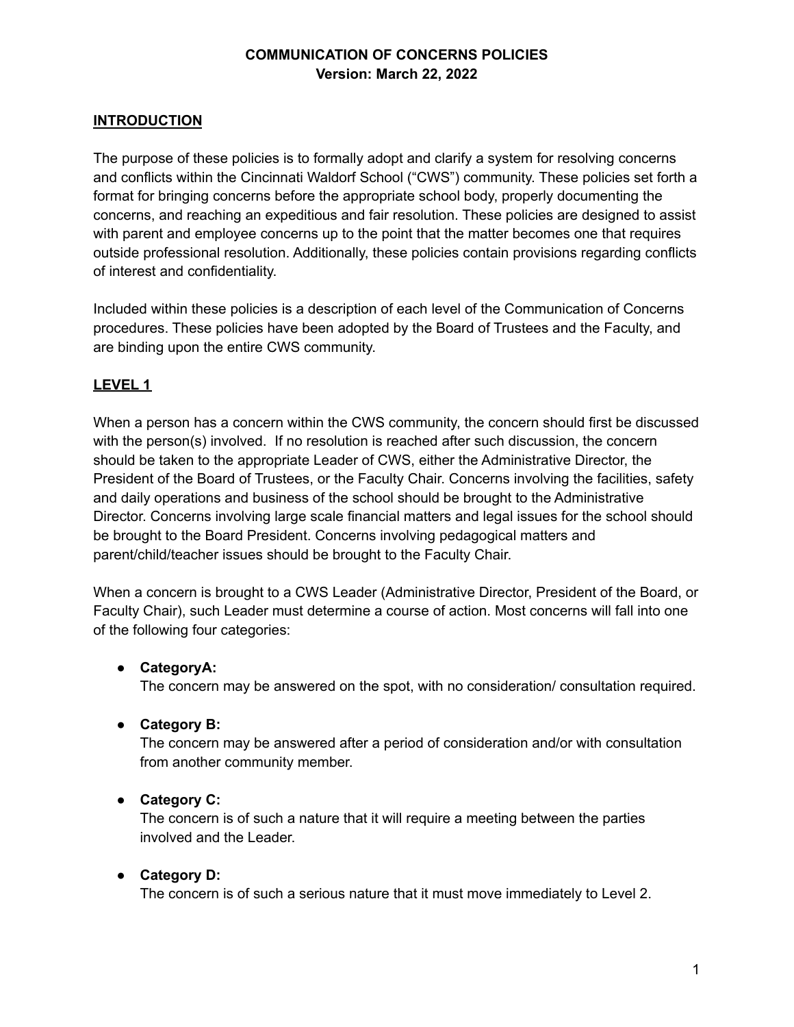## **INTRODUCTION**

The purpose of these policies is to formally adopt and clarify a system for resolving concerns and conflicts within the Cincinnati Waldorf School ("CWS") community. These policies set forth a format for bringing concerns before the appropriate school body, properly documenting the concerns, and reaching an expeditious and fair resolution. These policies are designed to assist with parent and employee concerns up to the point that the matter becomes one that requires outside professional resolution. Additionally, these policies contain provisions regarding conflicts of interest and confidentiality.

Included within these policies is a description of each level of the Communication of Concerns procedures. These policies have been adopted by the Board of Trustees and the Faculty, and are binding upon the entire CWS community.

# **LEVEL 1**

When a person has a concern within the CWS community, the concern should first be discussed with the person(s) involved. If no resolution is reached after such discussion, the concern should be taken to the appropriate Leader of CWS, either the Administrative Director, the President of the Board of Trustees, or the Faculty Chair. Concerns involving the facilities, safety and daily operations and business of the school should be brought to the Administrative Director. Concerns involving large scale financial matters and legal issues for the school should be brought to the Board President. Concerns involving pedagogical matters and parent/child/teacher issues should be brought to the Faculty Chair.

When a concern is brought to a CWS Leader (Administrative Director, President of the Board, or Faculty Chair), such Leader must determine a course of action. Most concerns will fall into one of the following four categories:

### **● CategoryA:**

The concern may be answered on the spot, with no consideration/ consultation required.

### **● Category B:**

The concern may be answered after a period of consideration and/or with consultation from another community member.

### **● Category C:**

The concern is of such a nature that it will require a meeting between the parties involved and the Leader.

### **● Category D:**

The concern is of such a serious nature that it must move immediately to Level 2.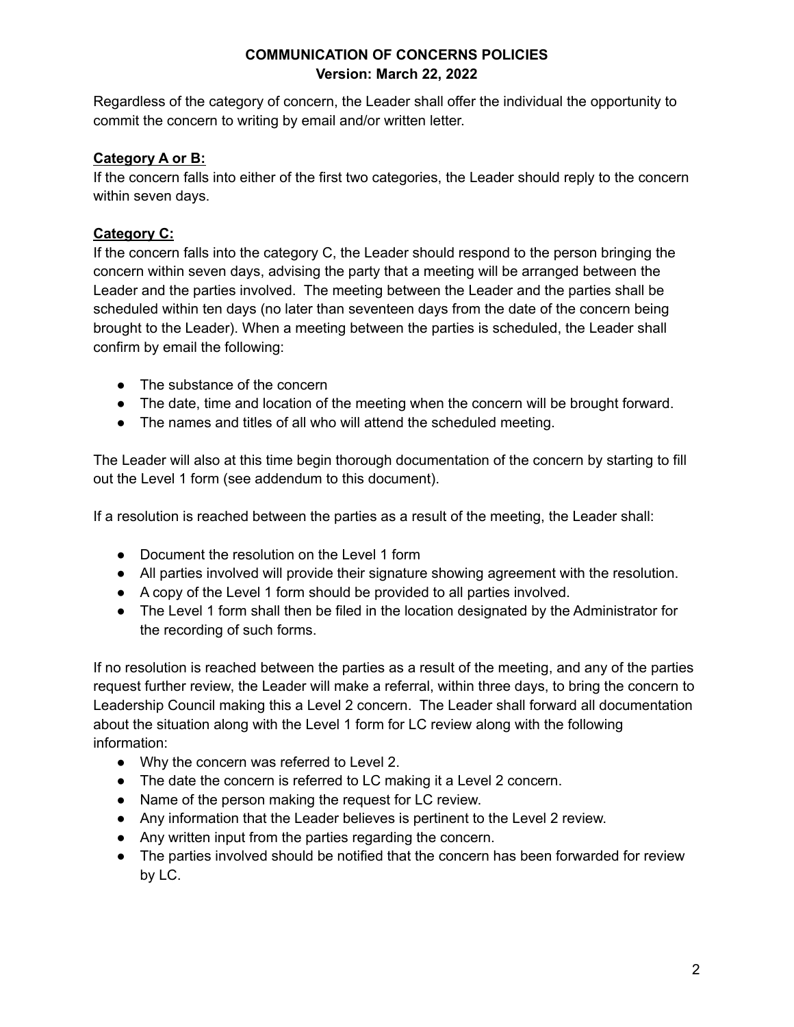Regardless of the category of concern, the Leader shall offer the individual the opportunity to commit the concern to writing by email and/or written letter.

# **Category A or B:**

If the concern falls into either of the first two categories, the Leader should reply to the concern within seven days.

# **Category C:**

If the concern falls into the category C, the Leader should respond to the person bringing the concern within seven days, advising the party that a meeting will be arranged between the Leader and the parties involved. The meeting between the Leader and the parties shall be scheduled within ten days (no later than seventeen days from the date of the concern being brought to the Leader). When a meeting between the parties is scheduled, the Leader shall confirm by email the following:

- The substance of the concern
- The date, time and location of the meeting when the concern will be brought forward.
- The names and titles of all who will attend the scheduled meeting.

The Leader will also at this time begin thorough documentation of the concern by starting to fill out the Level 1 form (see addendum to this document).

If a resolution is reached between the parties as a result of the meeting, the Leader shall:

- Document the resolution on the Level 1 form
- All parties involved will provide their signature showing agreement with the resolution.
- A copy of the Level 1 form should be provided to all parties involved.
- The Level 1 form shall then be filed in the location designated by the Administrator for the recording of such forms.

If no resolution is reached between the parties as a result of the meeting, and any of the parties request further review, the Leader will make a referral, within three days, to bring the concern to Leadership Council making this a Level 2 concern. The Leader shall forward all documentation about the situation along with the Level 1 form for LC review along with the following information:

- Why the concern was referred to Level 2.
- The date the concern is referred to LC making it a Level 2 concern.
- Name of the person making the request for LC review.
- Any information that the Leader believes is pertinent to the Level 2 review.
- Any written input from the parties regarding the concern.
- The parties involved should be notified that the concern has been forwarded for review by LC.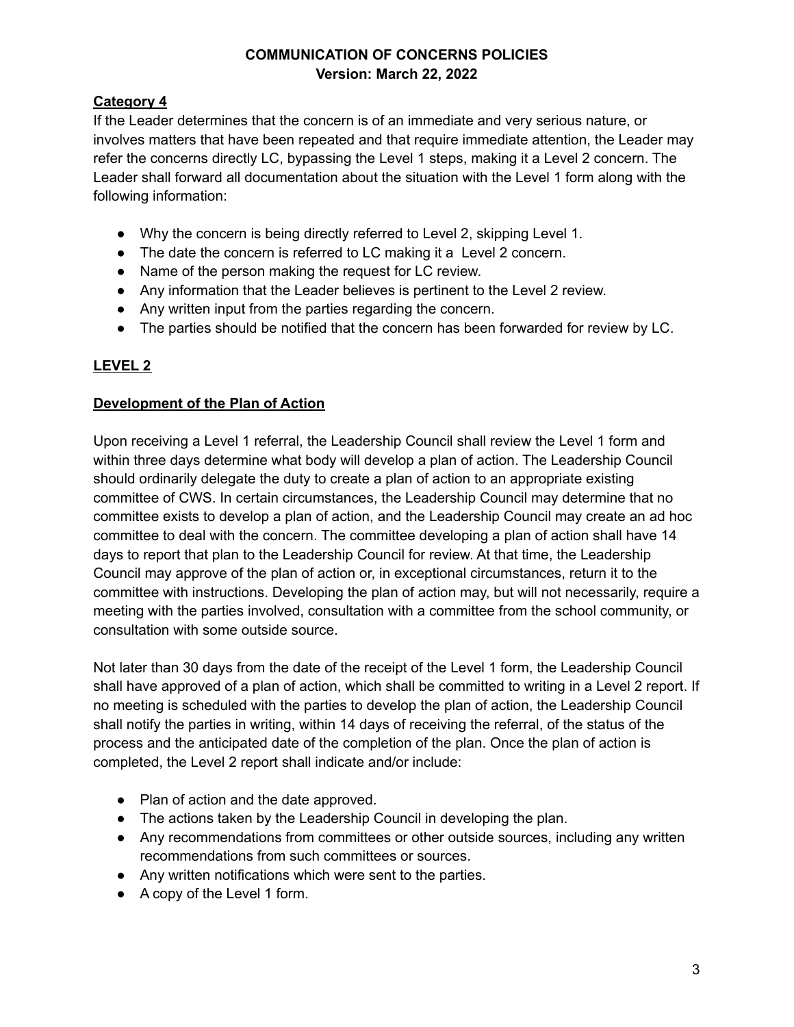# **Category 4**

If the Leader determines that the concern is of an immediate and very serious nature, or involves matters that have been repeated and that require immediate attention, the Leader may refer the concerns directly LC, bypassing the Level 1 steps, making it a Level 2 concern. The Leader shall forward all documentation about the situation with the Level 1 form along with the following information:

- Why the concern is being directly referred to Level 2, skipping Level 1.
- The date the concern is referred to LC making it a Level 2 concern.
- Name of the person making the request for LC review.
- Any information that the Leader believes is pertinent to the Level 2 review.
- Any written input from the parties regarding the concern.
- The parties should be notified that the concern has been forwarded for review by LC.

# **LEVEL 2**

# **Development of the Plan of Action**

Upon receiving a Level 1 referral, the Leadership Council shall review the Level 1 form and within three days determine what body will develop a plan of action. The Leadership Council should ordinarily delegate the duty to create a plan of action to an appropriate existing committee of CWS. In certain circumstances, the Leadership Council may determine that no committee exists to develop a plan of action, and the Leadership Council may create an ad hoc committee to deal with the concern. The committee developing a plan of action shall have 14 days to report that plan to the Leadership Council for review. At that time, the Leadership Council may approve of the plan of action or, in exceptional circumstances, return it to the committee with instructions. Developing the plan of action may, but will not necessarily, require a meeting with the parties involved, consultation with a committee from the school community, or consultation with some outside source.

Not later than 30 days from the date of the receipt of the Level 1 form, the Leadership Council shall have approved of a plan of action, which shall be committed to writing in a Level 2 report. If no meeting is scheduled with the parties to develop the plan of action, the Leadership Council shall notify the parties in writing, within 14 days of receiving the referral, of the status of the process and the anticipated date of the completion of the plan. Once the plan of action is completed, the Level 2 report shall indicate and/or include:

- Plan of action and the date approved.
- The actions taken by the Leadership Council in developing the plan.
- Any recommendations from committees or other outside sources, including any written recommendations from such committees or sources.
- Any written notifications which were sent to the parties.
- A copy of the Level 1 form.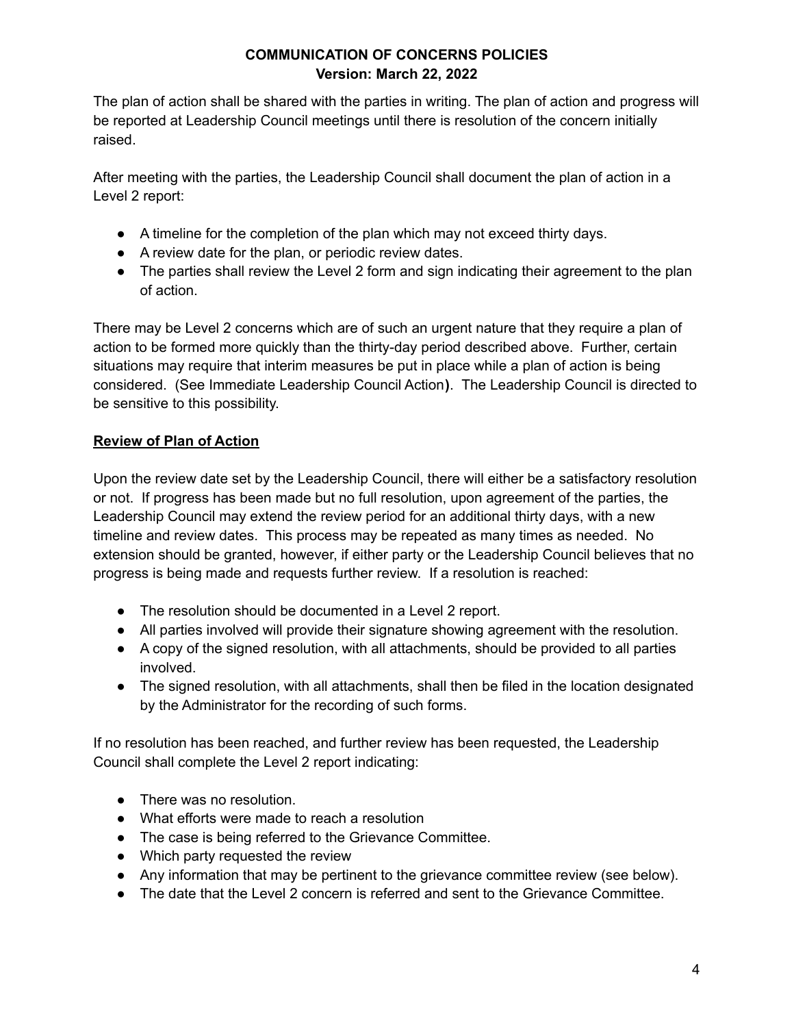The plan of action shall be shared with the parties in writing. The plan of action and progress will be reported at Leadership Council meetings until there is resolution of the concern initially raised.

After meeting with the parties, the Leadership Council shall document the plan of action in a Level 2 report:

- A timeline for the completion of the plan which may not exceed thirty days.
- A review date for the plan, or periodic review dates.
- The parties shall review the Level 2 form and sign indicating their agreement to the plan of action.

There may be Level 2 concerns which are of such an urgent nature that they require a plan of action to be formed more quickly than the thirty-day period described above. Further, certain situations may require that interim measures be put in place while a plan of action is being considered. (See Immediate Leadership Council Action**)**. The Leadership Council is directed to be sensitive to this possibility.

# **Review of Plan of Action**

Upon the review date set by the Leadership Council, there will either be a satisfactory resolution or not. If progress has been made but no full resolution, upon agreement of the parties, the Leadership Council may extend the review period for an additional thirty days, with a new timeline and review dates. This process may be repeated as many times as needed. No extension should be granted, however, if either party or the Leadership Council believes that no progress is being made and requests further review. If a resolution is reached:

- The resolution should be documented in a Level 2 report.
- All parties involved will provide their signature showing agreement with the resolution.
- A copy of the signed resolution, with all attachments, should be provided to all parties involved.
- The signed resolution, with all attachments, shall then be filed in the location designated by the Administrator for the recording of such forms.

If no resolution has been reached, and further review has been requested, the Leadership Council shall complete the Level 2 report indicating:

- There was no resolution.
- What efforts were made to reach a resolution
- The case is being referred to the Grievance Committee.
- Which party requested the review
- Any information that may be pertinent to the grievance committee review (see below).
- The date that the Level 2 concern is referred and sent to the Grievance Committee.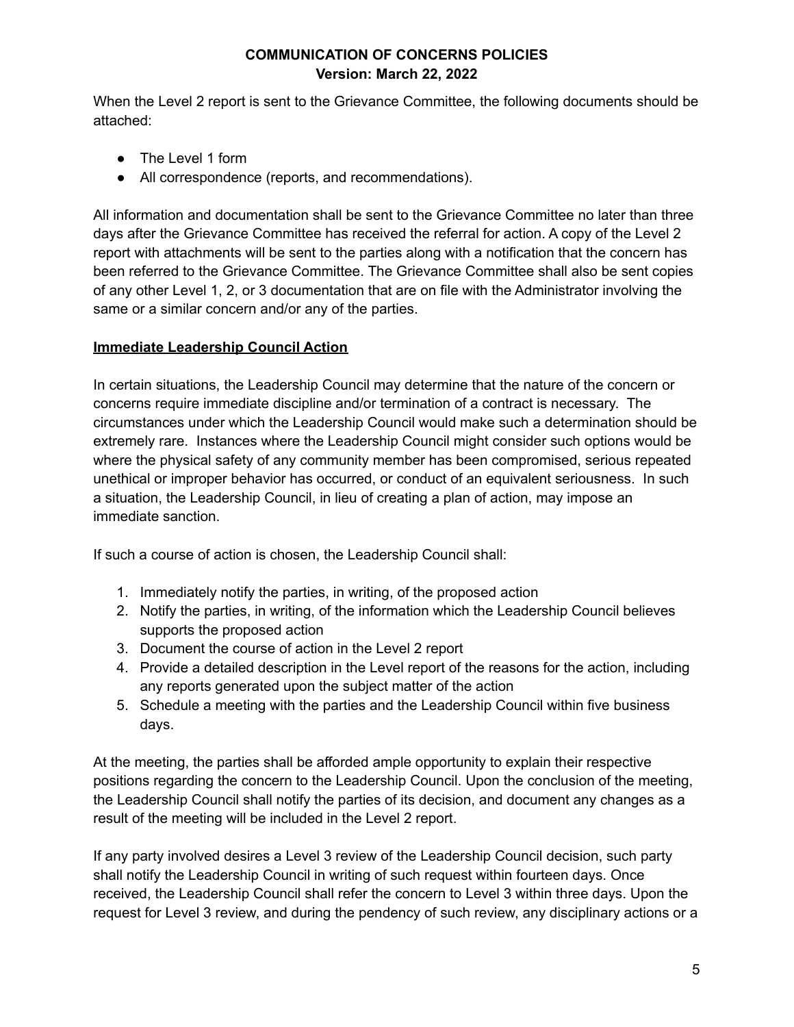When the Level 2 report is sent to the Grievance Committee, the following documents should be attached:

- The Level 1 form
- All correspondence (reports, and recommendations).

All information and documentation shall be sent to the Grievance Committee no later than three days after the Grievance Committee has received the referral for action. A copy of the Level 2 report with attachments will be sent to the parties along with a notification that the concern has been referred to the Grievance Committee. The Grievance Committee shall also be sent copies of any other Level 1, 2, or 3 documentation that are on file with the Administrator involving the same or a similar concern and/or any of the parties.

# **Immediate Leadership Council Action**

In certain situations, the Leadership Council may determine that the nature of the concern or concerns require immediate discipline and/or termination of a contract is necessary. The circumstances under which the Leadership Council would make such a determination should be extremely rare. Instances where the Leadership Council might consider such options would be where the physical safety of any community member has been compromised, serious repeated unethical or improper behavior has occurred, or conduct of an equivalent seriousness. In such a situation, the Leadership Council, in lieu of creating a plan of action, may impose an immediate sanction.

If such a course of action is chosen, the Leadership Council shall:

- 1. Immediately notify the parties, in writing, of the proposed action
- 2. Notify the parties, in writing, of the information which the Leadership Council believes supports the proposed action
- 3. Document the course of action in the Level 2 report
- 4. Provide a detailed description in the Level report of the reasons for the action, including any reports generated upon the subject matter of the action
- 5. Schedule a meeting with the parties and the Leadership Council within five business days.

At the meeting, the parties shall be afforded ample opportunity to explain their respective positions regarding the concern to the Leadership Council. Upon the conclusion of the meeting, the Leadership Council shall notify the parties of its decision, and document any changes as a result of the meeting will be included in the Level 2 report.

If any party involved desires a Level 3 review of the Leadership Council decision, such party shall notify the Leadership Council in writing of such request within fourteen days. Once received, the Leadership Council shall refer the concern to Level 3 within three days. Upon the request for Level 3 review, and during the pendency of such review, any disciplinary actions or a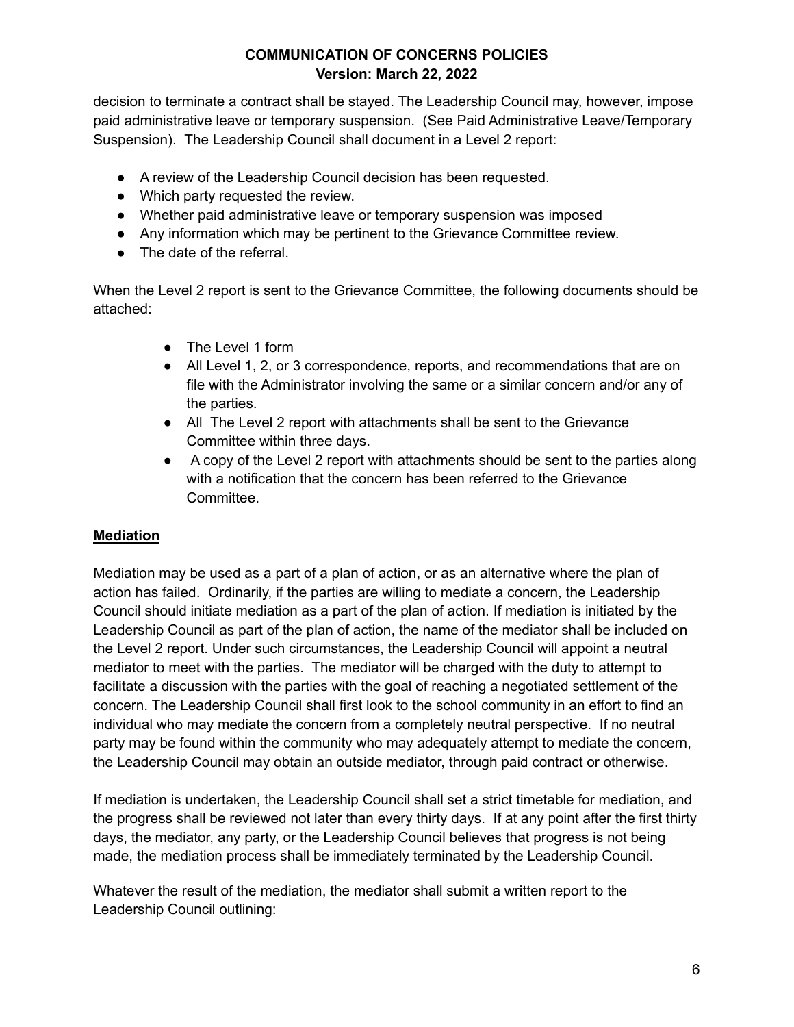decision to terminate a contract shall be stayed. The Leadership Council may, however, impose paid administrative leave or temporary suspension. (See Paid Administrative Leave/Temporary Suspension). The Leadership Council shall document in a Level 2 report:

- A review of the Leadership Council decision has been requested.
- Which party requested the review.
- Whether paid administrative leave or temporary suspension was imposed
- Any information which may be pertinent to the Grievance Committee review.
- The date of the referral.

When the Level 2 report is sent to the Grievance Committee, the following documents should be attached:

- The Level 1 form
- All Level 1, 2, or 3 correspondence, reports, and recommendations that are on file with the Administrator involving the same or a similar concern and/or any of the parties.
- All The Level 2 report with attachments shall be sent to the Grievance Committee within three days.
- A copy of the Level 2 report with attachments should be sent to the parties along with a notification that the concern has been referred to the Grievance Committee.

# **Mediation**

Mediation may be used as a part of a plan of action, or as an alternative where the plan of action has failed. Ordinarily, if the parties are willing to mediate a concern, the Leadership Council should initiate mediation as a part of the plan of action. If mediation is initiated by the Leadership Council as part of the plan of action, the name of the mediator shall be included on the Level 2 report. Under such circumstances, the Leadership Council will appoint a neutral mediator to meet with the parties. The mediator will be charged with the duty to attempt to facilitate a discussion with the parties with the goal of reaching a negotiated settlement of the concern. The Leadership Council shall first look to the school community in an effort to find an individual who may mediate the concern from a completely neutral perspective. If no neutral party may be found within the community who may adequately attempt to mediate the concern, the Leadership Council may obtain an outside mediator, through paid contract or otherwise.

If mediation is undertaken, the Leadership Council shall set a strict timetable for mediation, and the progress shall be reviewed not later than every thirty days. If at any point after the first thirty days, the mediator, any party, or the Leadership Council believes that progress is not being made, the mediation process shall be immediately terminated by the Leadership Council.

Whatever the result of the mediation, the mediator shall submit a written report to the Leadership Council outlining: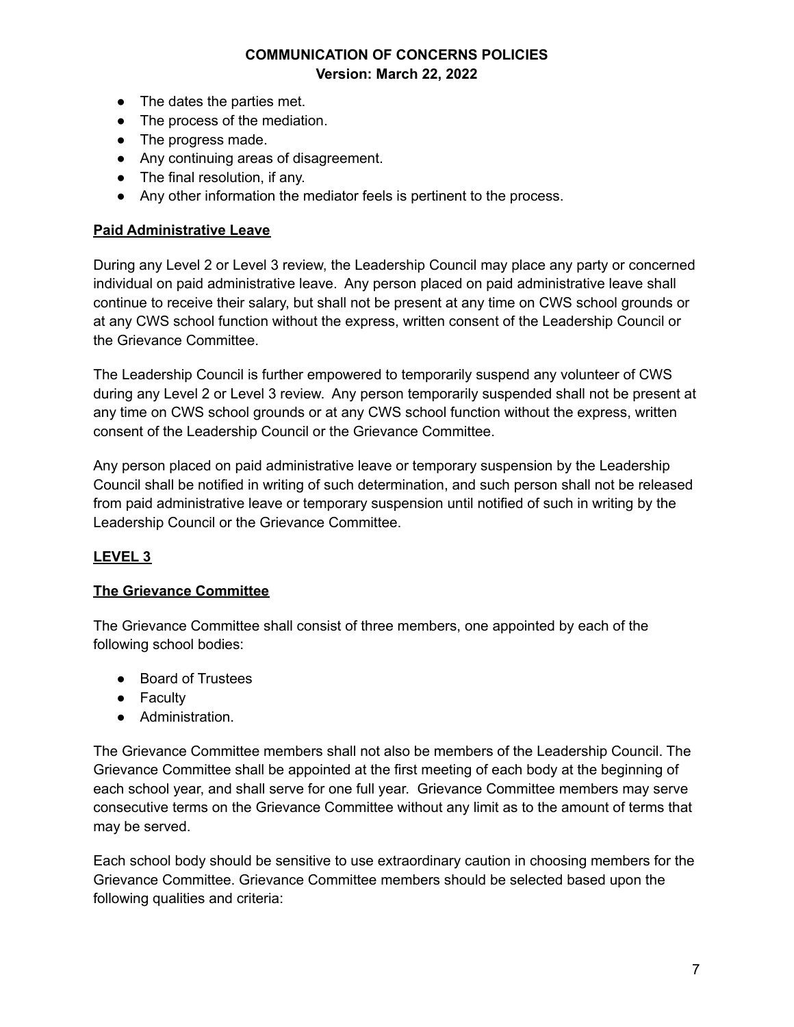- The dates the parties met.
- The process of the mediation.
- The progress made.
- Any continuing areas of disagreement.
- The final resolution, if any.
- Any other information the mediator feels is pertinent to the process.

#### **Paid Administrative Leave**

During any Level 2 or Level 3 review, the Leadership Council may place any party or concerned individual on paid administrative leave. Any person placed on paid administrative leave shall continue to receive their salary, but shall not be present at any time on CWS school grounds or at any CWS school function without the express, written consent of the Leadership Council or the Grievance Committee.

The Leadership Council is further empowered to temporarily suspend any volunteer of CWS during any Level 2 or Level 3 review. Any person temporarily suspended shall not be present at any time on CWS school grounds or at any CWS school function without the express, written consent of the Leadership Council or the Grievance Committee.

Any person placed on paid administrative leave or temporary suspension by the Leadership Council shall be notified in writing of such determination, and such person shall not be released from paid administrative leave or temporary suspension until notified of such in writing by the Leadership Council or the Grievance Committee.

### **LEVEL 3**

### **The Grievance Committee**

The Grievance Committee shall consist of three members, one appointed by each of the following school bodies:

- Board of Trustees
- Faculty
- Administration.

The Grievance Committee members shall not also be members of the Leadership Council. The Grievance Committee shall be appointed at the first meeting of each body at the beginning of each school year, and shall serve for one full year. Grievance Committee members may serve consecutive terms on the Grievance Committee without any limit as to the amount of terms that may be served.

Each school body should be sensitive to use extraordinary caution in choosing members for the Grievance Committee. Grievance Committee members should be selected based upon the following qualities and criteria: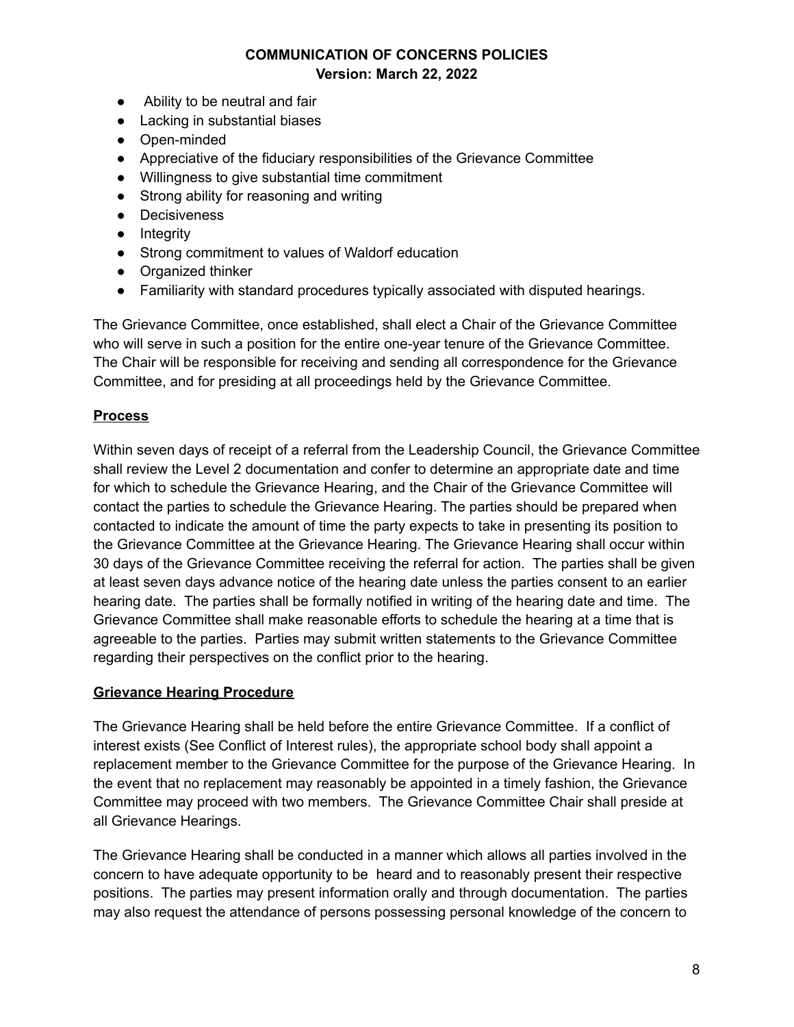- Ability to be neutral and fair
- Lacking in substantial biases
- Open-minded
- Appreciative of the fiduciary responsibilities of the Grievance Committee
- Willingness to give substantial time commitment
- Strong ability for reasoning and writing
- Decisiveness
- Integrity
- Strong commitment to values of Waldorf education
- Organized thinker
- Familiarity with standard procedures typically associated with disputed hearings.

The Grievance Committee, once established, shall elect a Chair of the Grievance Committee who will serve in such a position for the entire one-year tenure of the Grievance Committee. The Chair will be responsible for receiving and sending all correspondence for the Grievance Committee, and for presiding at all proceedings held by the Grievance Committee.

# **Process**

Within seven days of receipt of a referral from the Leadership Council, the Grievance Committee shall review the Level 2 documentation and confer to determine an appropriate date and time for which to schedule the Grievance Hearing, and the Chair of the Grievance Committee will contact the parties to schedule the Grievance Hearing. The parties should be prepared when contacted to indicate the amount of time the party expects to take in presenting its position to the Grievance Committee at the Grievance Hearing. The Grievance Hearing shall occur within 30 days of the Grievance Committee receiving the referral for action. The parties shall be given at least seven days advance notice of the hearing date unless the parties consent to an earlier hearing date. The parties shall be formally notified in writing of the hearing date and time. The Grievance Committee shall make reasonable efforts to schedule the hearing at a time that is agreeable to the parties. Parties may submit written statements to the Grievance Committee regarding their perspectives on the conflict prior to the hearing.

### **Grievance Hearing Procedure**

The Grievance Hearing shall be held before the entire Grievance Committee. If a conflict of interest exists (See Conflict of Interest rules), the appropriate school body shall appoint a replacement member to the Grievance Committee for the purpose of the Grievance Hearing. In the event that no replacement may reasonably be appointed in a timely fashion, the Grievance Committee may proceed with two members. The Grievance Committee Chair shall preside at all Grievance Hearings.

The Grievance Hearing shall be conducted in a manner which allows all parties involved in the concern to have adequate opportunity to be heard and to reasonably present their respective positions. The parties may present information orally and through documentation. The parties may also request the attendance of persons possessing personal knowledge of the concern to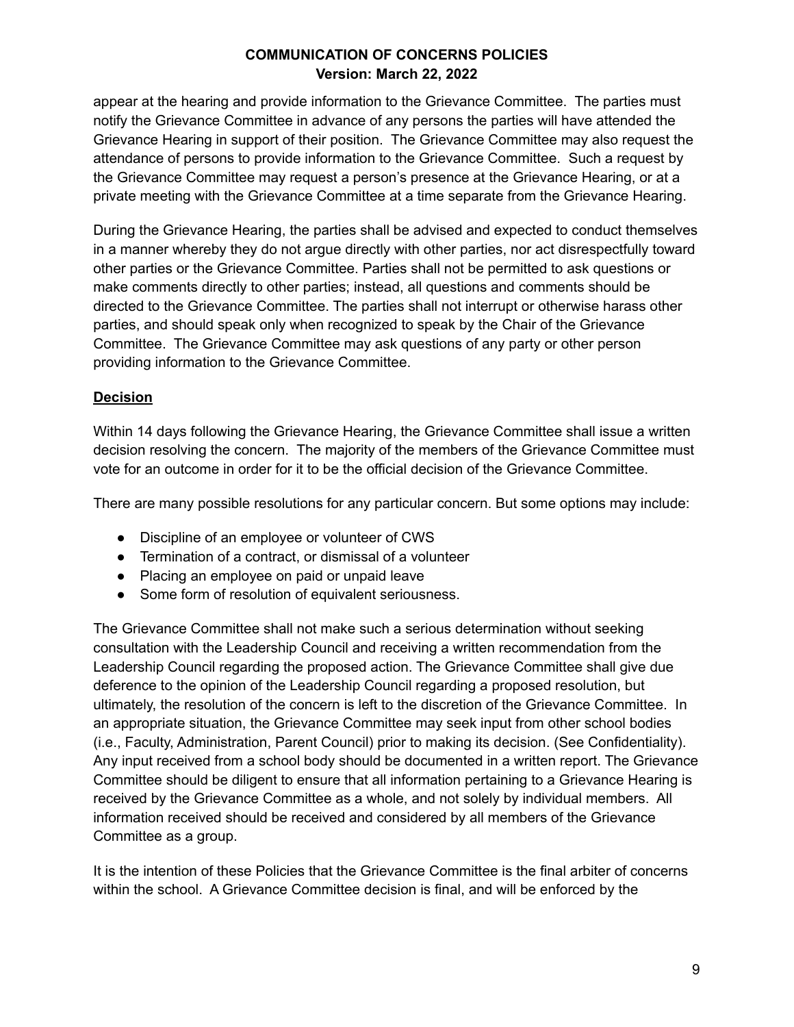appear at the hearing and provide information to the Grievance Committee. The parties must notify the Grievance Committee in advance of any persons the parties will have attended the Grievance Hearing in support of their position. The Grievance Committee may also request the attendance of persons to provide information to the Grievance Committee. Such a request by the Grievance Committee may request a person's presence at the Grievance Hearing, or at a private meeting with the Grievance Committee at a time separate from the Grievance Hearing.

During the Grievance Hearing, the parties shall be advised and expected to conduct themselves in a manner whereby they do not argue directly with other parties, nor act disrespectfully toward other parties or the Grievance Committee. Parties shall not be permitted to ask questions or make comments directly to other parties; instead, all questions and comments should be directed to the Grievance Committee. The parties shall not interrupt or otherwise harass other parties, and should speak only when recognized to speak by the Chair of the Grievance Committee. The Grievance Committee may ask questions of any party or other person providing information to the Grievance Committee.

### **Decision**

Within 14 days following the Grievance Hearing, the Grievance Committee shall issue a written decision resolving the concern. The majority of the members of the Grievance Committee must vote for an outcome in order for it to be the official decision of the Grievance Committee.

There are many possible resolutions for any particular concern. But some options may include:

- Discipline of an employee or volunteer of CWS
- Termination of a contract, or dismissal of a volunteer
- Placing an employee on paid or unpaid leave
- Some form of resolution of equivalent seriousness.

The Grievance Committee shall not make such a serious determination without seeking consultation with the Leadership Council and receiving a written recommendation from the Leadership Council regarding the proposed action. The Grievance Committee shall give due deference to the opinion of the Leadership Council regarding a proposed resolution, but ultimately, the resolution of the concern is left to the discretion of the Grievance Committee. In an appropriate situation, the Grievance Committee may seek input from other school bodies (i.e., Faculty, Administration, Parent Council) prior to making its decision. (See Confidentiality). Any input received from a school body should be documented in a written report. The Grievance Committee should be diligent to ensure that all information pertaining to a Grievance Hearing is received by the Grievance Committee as a whole, and not solely by individual members. All information received should be received and considered by all members of the Grievance Committee as a group.

It is the intention of these Policies that the Grievance Committee is the final arbiter of concerns within the school. A Grievance Committee decision is final, and will be enforced by the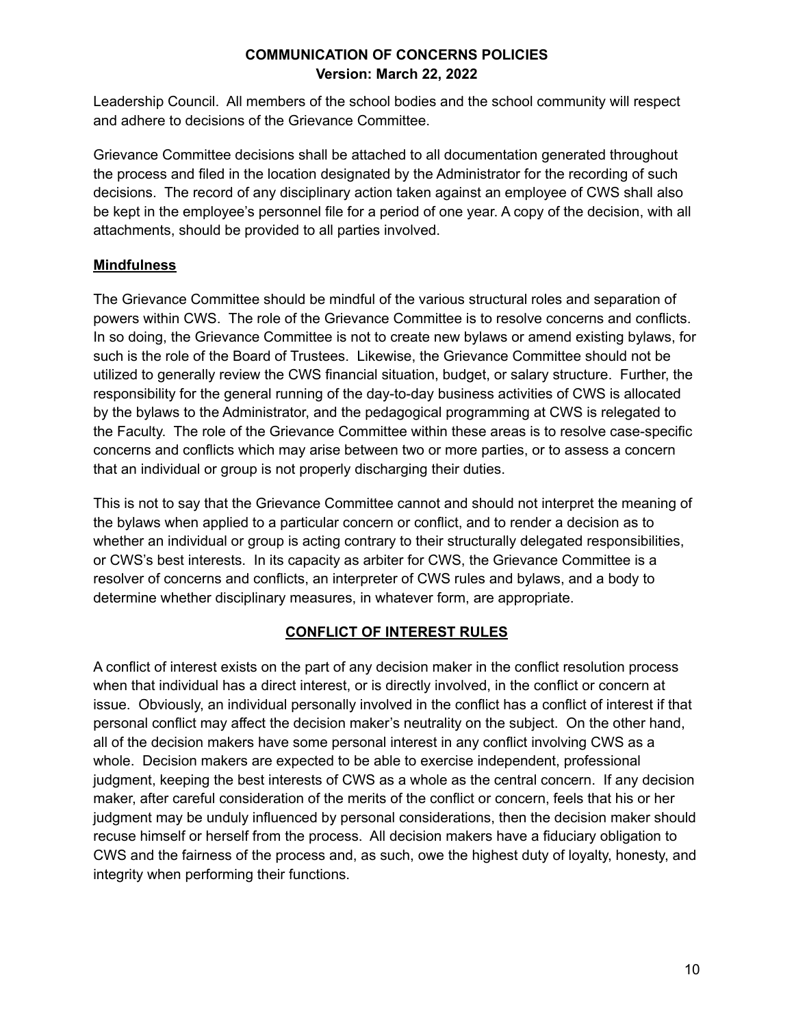Leadership Council. All members of the school bodies and the school community will respect and adhere to decisions of the Grievance Committee.

Grievance Committee decisions shall be attached to all documentation generated throughout the process and filed in the location designated by the Administrator for the recording of such decisions. The record of any disciplinary action taken against an employee of CWS shall also be kept in the employee's personnel file for a period of one year. A copy of the decision, with all attachments, should be provided to all parties involved.

# **Mindfulness**

The Grievance Committee should be mindful of the various structural roles and separation of powers within CWS. The role of the Grievance Committee is to resolve concerns and conflicts. In so doing, the Grievance Committee is not to create new bylaws or amend existing bylaws, for such is the role of the Board of Trustees. Likewise, the Grievance Committee should not be utilized to generally review the CWS financial situation, budget, or salary structure. Further, the responsibility for the general running of the day-to-day business activities of CWS is allocated by the bylaws to the Administrator, and the pedagogical programming at CWS is relegated to the Faculty. The role of the Grievance Committee within these areas is to resolve case-specific concerns and conflicts which may arise between two or more parties, or to assess a concern that an individual or group is not properly discharging their duties.

This is not to say that the Grievance Committee cannot and should not interpret the meaning of the bylaws when applied to a particular concern or conflict, and to render a decision as to whether an individual or group is acting contrary to their structurally delegated responsibilities, or CWS's best interests. In its capacity as arbiter for CWS, the Grievance Committee is a resolver of concerns and conflicts, an interpreter of CWS rules and bylaws, and a body to determine whether disciplinary measures, in whatever form, are appropriate.

### **CONFLICT OF INTEREST RULES**

A conflict of interest exists on the part of any decision maker in the conflict resolution process when that individual has a direct interest, or is directly involved, in the conflict or concern at issue. Obviously, an individual personally involved in the conflict has a conflict of interest if that personal conflict may affect the decision maker's neutrality on the subject. On the other hand, all of the decision makers have some personal interest in any conflict involving CWS as a whole. Decision makers are expected to be able to exercise independent, professional judgment, keeping the best interests of CWS as a whole as the central concern. If any decision maker, after careful consideration of the merits of the conflict or concern, feels that his or her judgment may be unduly influenced by personal considerations, then the decision maker should recuse himself or herself from the process. All decision makers have a fiduciary obligation to CWS and the fairness of the process and, as such, owe the highest duty of loyalty, honesty, and integrity when performing their functions.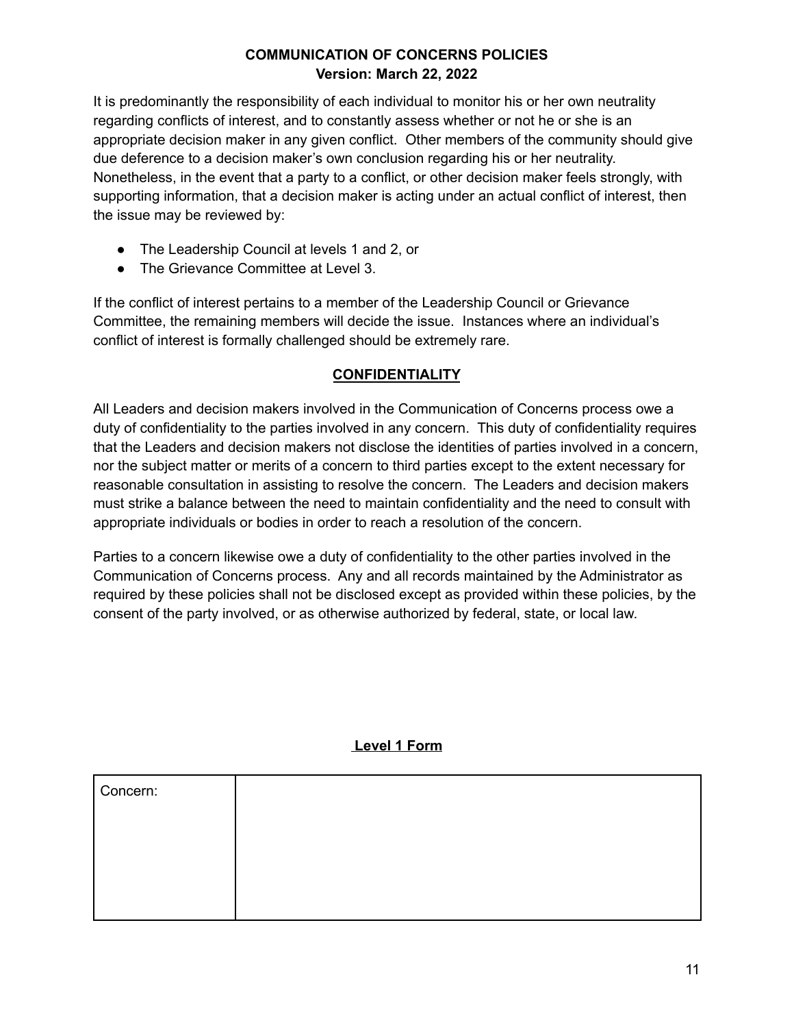It is predominantly the responsibility of each individual to monitor his or her own neutrality regarding conflicts of interest, and to constantly assess whether or not he or she is an appropriate decision maker in any given conflict. Other members of the community should give due deference to a decision maker's own conclusion regarding his or her neutrality. Nonetheless, in the event that a party to a conflict, or other decision maker feels strongly, with supporting information, that a decision maker is acting under an actual conflict of interest, then the issue may be reviewed by:

- The Leadership Council at levels 1 and 2, or
- The Grievance Committee at Level 3.

If the conflict of interest pertains to a member of the Leadership Council or Grievance Committee, the remaining members will decide the issue. Instances where an individual's conflict of interest is formally challenged should be extremely rare.

# **CONFIDENTIALITY**

All Leaders and decision makers involved in the Communication of Concerns process owe a duty of confidentiality to the parties involved in any concern. This duty of confidentiality requires that the Leaders and decision makers not disclose the identities of parties involved in a concern, nor the subject matter or merits of a concern to third parties except to the extent necessary for reasonable consultation in assisting to resolve the concern. The Leaders and decision makers must strike a balance between the need to maintain confidentiality and the need to consult with appropriate individuals or bodies in order to reach a resolution of the concern.

Parties to a concern likewise owe a duty of confidentiality to the other parties involved in the Communication of Concerns process. Any and all records maintained by the Administrator as required by these policies shall not be disclosed except as provided within these policies, by the consent of the party involved, or as otherwise authorized by federal, state, or local law.

### **Level 1 Form**

| Concern: |  |
|----------|--|
|          |  |
|          |  |
|          |  |
|          |  |